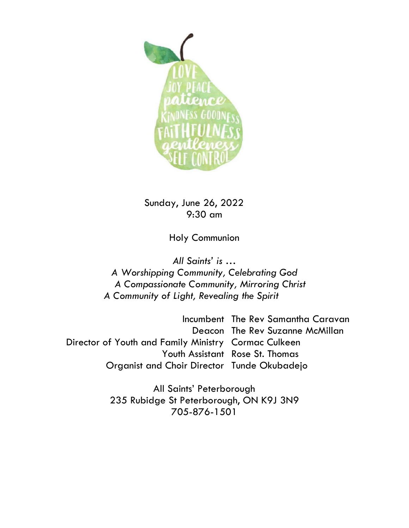

Sunday, June 26, 2022 9:30 am

Holy Communion

*All Saints' is … A Worshipping Community, Celebrating God A Compassionate Community, Mirroring Christ A Community of Light, Revealing the Spirit*

Incumbent The Rev Samantha Caravan Deacon The Rev Suzanne McMillan Director of Youth and Family Ministry Cormac Culkeen Youth Assistant Rose St. Thomas Organist and Choir Director Tunde Okubadejo

> All Saints' Peterborough 235 Rubidge St Peterborough, ON K9J 3N9 705-876-1501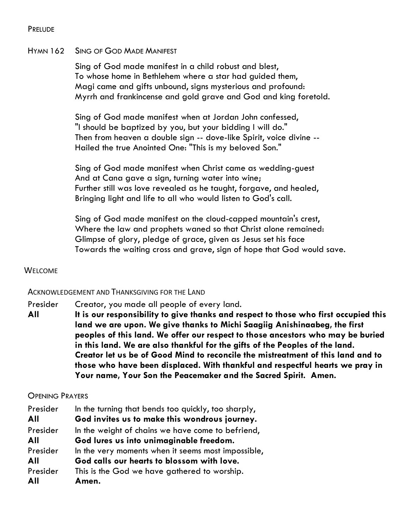### **PRELUDE**

### HYMN 162 SING OF GOD MADE MANIFEST

Sing of God made manifest in a child robust and blest, To whose home in Bethlehem where a star had guided them, Magi came and gifts unbound, signs mysterious and profound: Myrrh and frankincense and gold grave and God and king foretold.

Sing of God made manifest when at Jordan John confessed, "I should be baptized by you, but your bidding I will do." Then from heaven a double sign -- dove-like Spirit, voice divine -- Hailed the true Anointed One: "This is my beloved Son."

Sing of God made manifest when Christ came as wedding-guest And at Cana gave a sign, turning water into wine; Further still was love revealed as he taught, forgave, and healed, Bringing light and life to all who would listen to God's call.

Sing of God made manifest on the cloud-capped mountain's crest, Where the law and prophets waned so that Christ alone remained: Glimpse of glory, pledge of grace, given as Jesus set his face Towards the waiting cross and grave, sign of hope that God would save.

### **WELCOME**

### ACKNOWLEDGEMENT AND THANKSGIVING FOR THE LAND

Presider Creator, you made all people of every land.

**All It is our responsibility to give thanks and respect to those who first occupied this land we are upon. We give thanks to Michi Saagiig Anishinaabeg, the first peoples of this land. We offer our respect to those ancestors who may be buried in this land. We are also thankful for the gifts of the Peoples of the land. Creator let us be of Good Mind to reconcile the mistreatment of this land and to those who have been displaced. With thankful and respectful hearts we pray in Your name, Your Son the Peacemaker and the Sacred Spirit. Amen.**

### OPENING PRAYERS

| Presider | In the turning that bends too quickly, too sharply, |
|----------|-----------------------------------------------------|
| All      | God invites us to make this wondrous journey.       |
| Presider | In the weight of chains we have come to befriend,   |
| All      | God lures us into unimaginable freedom.             |
| Presider | In the very moments when it seems most impossible,  |
| All      | God calls our hearts to blossom with love.          |
| Presider | This is the God we have gathered to worship.        |
| All      | Amen.                                               |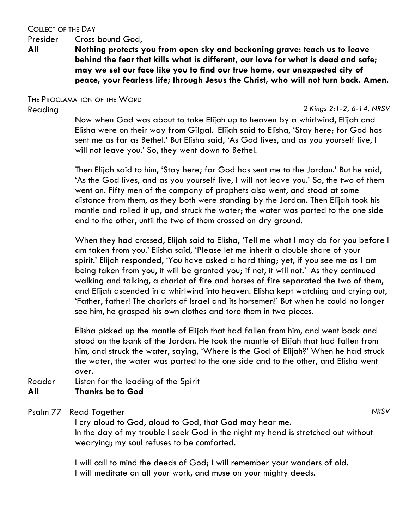### COLLECT OF THE DAY

Presider Cross bound God,

**All Nothing protects you from open sky and beckoning grave: teach us to leave behind the fear that kills what is different, our love for what is dead and safe; may we set our face like you to find our true home, our unexpected city of peace, your fearless life; through Jesus the Christ, who will not turn back. Amen.** 

### THE PROCLAMATION OF THE WORD

### Reading *2 Kings 2:1-2, 6-14, NRSV*

Now when God was about to take Elijah up to heaven by a whirlwind, Elijah and Elisha were on their way from Gilgal. Elijah said to Elisha, 'Stay here; for God has sent me as far as Bethel.' But Elisha said, 'As God lives, and as you yourself live, I will not leave you.' So, they went down to Bethel.

Then Elijah said to him, 'Stay here; for God has sent me to the Jordan.' But he said, 'As the God lives, and as you yourself live, I will not leave you.' So, the two of them went on. Fifty men of the company of prophets also went, and stood at some distance from them, as they both were standing by the Jordan. Then Elijah took his mantle and rolled it up, and struck the water; the water was parted to the one side and to the other, until the two of them crossed on dry ground.

When they had crossed, Elijah said to Elisha, 'Tell me what I may do for you before I am taken from you.' Elisha said, 'Please let me inherit a double share of your spirit.' Elijah responded, 'You have asked a hard thing; yet, if you see me as I am being taken from you, it will be granted you; if not, it will not.' As they continued walking and talking, a chariot of fire and horses of fire separated the two of them, and Elijah ascended in a whirlwind into heaven. Elisha kept watching and crying out, 'Father, father! The chariots of Israel and its horsemen!' But when he could no longer see him, he grasped his own clothes and tore them in two pieces.

Elisha picked up the mantle of Elijah that had fallen from him, and went back and stood on the bank of the Jordan. He took the mantle of Elijah that had fallen from him, and struck the water, saying, 'Where is the God of Elijah?' When he had struck the water, the water was parted to the one side and to the other, and Elisha went over.

Reader Listen for the leading of the Spirit **All Thanks be to God**

# Psalm 77 Read Together *NRSV*

I cry aloud to God, aloud to God, that God may hear me. In the day of my trouble I seek God in the night my hand is stretched out without wearying; my soul refuses to be comforted.

I will call to mind the deeds of God; I will remember your wonders of old. I will meditate on all your work, and muse on your mighty deeds.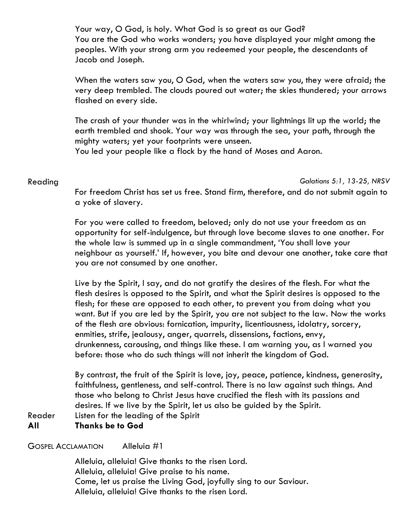Your way, O God, is holy. What God is so great as our God? You are the God who works wonders; you have displayed your might among the peoples. With your strong arm you redeemed your people, the descendants of Jacob and Joseph.

When the waters saw you, O God, when the waters saw you, they were afraid; the very deep trembled. The clouds poured out water; the skies thundered; your arrows flashed on every side.

The crash of your thunder was in the whirlwind; your lightnings lit up the world; the earth trembled and shook. Your way was through the sea, your path, through the mighty waters; yet your footprints were unseen. You led your people like a flock by the hand of Moses and Aaron.

Reading *Galatians 5:1, 13-25, NRSV*

For freedom Christ has set us free. Stand firm, therefore, and do not submit again to a yoke of slavery.

For you were called to freedom, beloved; only do not use your freedom as an opportunity for self-indulgence, but through love become slaves to one another. For the whole law is summed up in a single commandment, 'You shall love your neighbour as yourself.' If, however, you bite and devour one another, take care that you are not consumed by one another.

Live by the Spirit, I say, and do not gratify the desires of the flesh. For what the flesh desires is opposed to the Spirit, and what the Spirit desires is opposed to the flesh; for these are opposed to each other, to prevent you from doing what you want. But if you are led by the Spirit, you are not subject to the law. Now the works of the flesh are obvious: fornication, impurity, licentiousness, idolatry, sorcery, enmities, strife, jealousy, anger, quarrels, dissensions, factions, envy, drunkenness, carousing, and things like these. I am warning you, as I warned you before: those who do such things will not inherit the kingdom of God.

By contrast, the fruit of the Spirit is love, joy, peace, patience, kindness, generosity, faithfulness, gentleness, and self-control. There is no law against such things. And those who belong to Christ Jesus have crucified the flesh with its passions and desires. If we live by the Spirit, let us also be guided by the Spirit.

# Reader Listen for the leading of the Spirit

# **All Thanks be to God**

### GOSPEL ACCLAMATION Alleluia #1

Alleluia, alleluia! Give thanks to the risen Lord. Alleluia, alleluia! Give praise to his name. Come, let us praise the Living God, joyfully sing to our Saviour. Alleluia, alleluia! Give thanks to the risen Lord.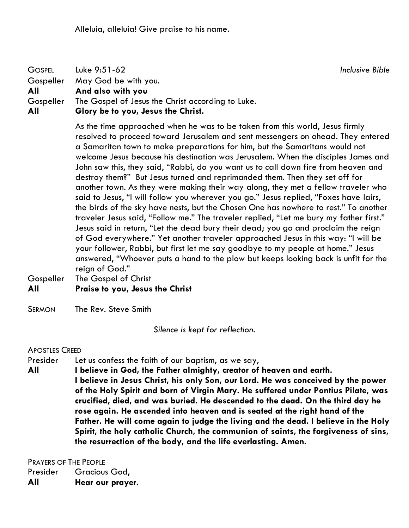GOSPEL Luke 9:51-62 *Inclusive Bible* Gospeller May God be with you. **All And also with you** Gospeller The Gospel of Jesus the Christ according to Luke. **All Glory be to you, Jesus the Christ.**

> As the time approached when he was to be taken from this world, Jesus firmly resolved to proceed toward Jerusalem and sent messengers on ahead. They entered a Samaritan town to make preparations for him, but the Samaritans would not welcome Jesus because his destination was Jerusalem. When the disciples James and John saw this, they said, "Rabbi, do you want us to call down fire from heaven and destroy them?" But Jesus turned and reprimanded them. Then they set off for another town. As they were making their way along, they met a fellow traveler who said to Jesus, "I will follow you wherever you go." Jesus replied, "Foxes have lairs, the birds of the sky have nests, but the Chosen One has nowhere to rest." To another traveler Jesus said, "Follow me." The traveler replied, "Let me bury my father first." Jesus said in return, "Let the dead bury their dead; you go and proclaim the reign of God everywhere." Yet another traveler approached Jesus in this way: "I will be your follower, Rabbi, but first let me say goodbye to my people at home." Jesus answered, "Whoever puts a hand to the plow but keeps looking back is unfit for the reign of God."

- Gospeller The Gospel of Christ **All Praise to you, Jesus the Christ**
- SERMON The Rev. Steve Smith

*Silence is kept for reflection.*

# APOSTLES CREED

Presider Let us confess the faith of our baptism, as we say,

**All I believe in God, the Father almighty, creator of heaven and earth. I believe in Jesus Christ, his only Son, our Lord. He was conceived by the power of the Holy Spirit and born of Virgin Mary. He suffered under Pontius Pilate, was crucified, died, and was buried. He descended to the dead. On the third day he rose again. He ascended into heaven and is seated at the right hand of the Father. He will come again to judge the living and the dead. I believe in the Holy Spirit, the holy catholic Church, the communion of saints, the forgiveness of sins, the resurrection of the body, and the life everlasting. Amen.**

PRAYERS OF THE PEOPLE

Presider Gracious God, **All Hear our prayer.**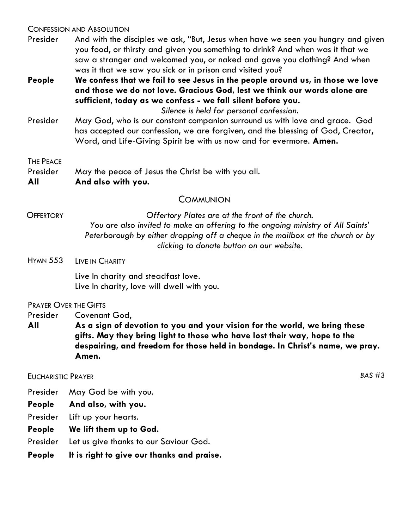CONFESSION AND ABSOLUTION

- Presider And with the disciples we ask, "But, Jesus when have we seen you hungry and given you food, or thirsty and given you something to drink? And when was it that we saw a stranger and welcomed you, or naked and gave you clothing? And when was it that we saw you sick or in prison and visited you?
- **People We confess that we fail to see Jesus in the people around us, in those we love and those we do not love. Gracious God, lest we think our words alone are sufficient, today as we confess - we fall silent before you.**

*Silence is held for personal confession.*

Presider May God, who is our constant companion surround us with love and grace. God has accepted our confession, we are forgiven, and the blessing of God, Creator, Word, and Life-Giving Spirit be with us now and for evermore. **Amen.**

THE PEACE

| Presider | May the peace of Jesus the Christ be with you all. |
|----------|----------------------------------------------------|
| All      | And also with you.                                 |

### **COMMUNION**

- OFFERTORY *Offertory Plates are at the front of the church. You are also invited to make an offering to the ongoing ministry of All Saints' Peterborough by either dropping off a cheque in the mailbox at the church or by clicking to donate button on our website.*
- HYMN 553 LIVE IN CHARITY

Live In charity and steadfast love. Live In charity, love will dwell with you.

### PRAYER OVER THE GIFTS

Presider Covenant God,

**All As a sign of devotion to you and your vision for the world, we bring these gifts. May they bring light to those who have lost their way, hope to the despairing, and freedom for those held in bondage. In Christ's name, we pray. Amen.**

EUCHARISTIC PRAYER *BAS #3*

- Presider May God be with you.
- **People And also, with you.**
- Presider Lift up your hearts.
- **People We lift them up to God.**

Presider Let us give thanks to our Saviour God.

**People It is right to give our thanks and praise.**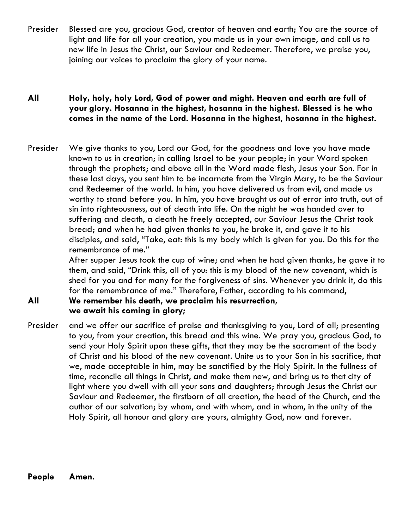Presider Blessed are you, gracious God, creator of heaven and earth; You are the source of light and life for all your creation, you made us in your own image, and call us to new life in Jesus the Christ, our Saviour and Redeemer. Therefore, we praise you, joining our voices to proclaim the glory of your name.

**All Holy, holy, holy Lord, God of power and might. Heaven and earth are full of your glory. Hosanna in the highest, hosanna in the highest. Blessed is he who comes in the name of the Lord. Hosanna in the highest, hosanna in the highest.**

Presider We give thanks to you, Lord our God, for the goodness and love you have made known to us in creation; in calling Israel to be your people; in your Word spoken through the prophets; and above all in the Word made flesh, Jesus your Son. For in these last days, you sent him to be incarnate from the Virgin Mary, to be the Saviour and Redeemer of the world. In him, you have delivered us from evil, and made us worthy to stand before you. In him, you have brought us out of error into truth, out of sin into righteousness, out of death into life. On the night he was handed over to suffering and death, a death he freely accepted, our Saviour Jesus the Christ took bread; and when he had given thanks to you, he broke it, and gave it to his disciples, and said, "Take, eat: this is my body which is given for you. Do this for the remembrance of me."

> After supper Jesus took the cup of wine; and when he had given thanks, he gave it to them, and said, "Drink this, all of you: this is my blood of the new covenant, which is shed for you and for many for the forgiveness of sins. Whenever you drink it, do this for the remembrance of me." Therefore, Father, according to his command,

**All We remember his death, we proclaim his resurrection, we await his coming in glory;** 

Presider and we offer our sacrifice of praise and thanksgiving to you, Lord of all; presenting to you, from your creation, this bread and this wine. We pray you, gracious God, to send your Holy Spirit upon these gifts, that they may be the sacrament of the body of Christ and his blood of the new covenant. Unite us to your Son in his sacrifice, that we, made acceptable in him, may be sanctified by the Holy Spirit. In the fullness of time, reconcile all things in Christ, and make them new, and bring us to that city of light where you dwell with all your sons and daughters; through Jesus the Christ our Saviour and Redeemer, the firstborn of all creation, the head of the Church, and the author of our salvation; by whom, and with whom, and in whom, in the unity of the Holy Spirit, all honour and glory are yours, almighty God, now and forever.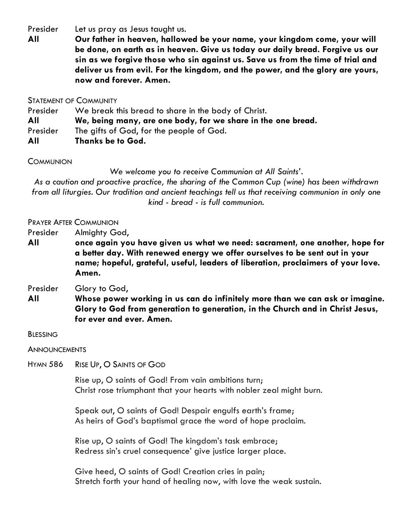Presider Let us pray as Jesus taught us.

**All Our father in heaven, hallowed be your name, your kingdom come, your will be done, on earth as in heaven. Give us today our daily bread. Forgive us our sin as we forgive those who sin against us. Save us from the time of trial and deliver us from evil. For the kingdom, and the power, and the glory are yours, now and forever. Amen.**

STATEMENT OF COMMUNITY

Presider We break this bread to share in the body of Christ.

**All We, being many, are one body, for we share in the one bread.**

- Presider The gifts of God, for the people of God.
- **All Thanks be to God.**

**COMMUNION** 

*We welcome you to receive Communion at All Saints'.*

*As a caution and proactive practice, the sharing of the Common Cup (wine) has been withdrawn from all liturgies. Our tradition and ancient teachings tell us that receiving communion in only one kind - bread - is full communion.*

PRAYER AFTER COMMUNION

Presider Almighty God,

**All once again you have given us what we need: sacrament, one another, hope for a better day. With renewed energy we offer ourselves to be sent out in your name; hopeful, grateful, useful, leaders of liberation, proclaimers of your love. Amen.**

Presider Glory to God,

**All Whose power working in us can do infinitely more than we can ask or imagine. Glory to God from generation to generation, in the Church and in Christ Jesus, for ever and ever. Amen.** 

**BLESSING** 

**ANNOUNCEMENTS** 

HYMN 586 RISE UP, O SAINTS OF GOD

Rise up, O saints of God! From vain ambitions turn; Christ rose triumphant that your hearts with nobler zeal might burn.

Speak out, O saints of God! Despair engulfs earth's frame; As heirs of God's baptismal grace the word of hope proclaim.

Rise up, O saints of God! The kingdom's task embrace; Redress sin's cruel consequence' give justice larger place.

Give heed, O saints of God! Creation cries in pain; Stretch forth your hand of healing now, with love the weak sustain.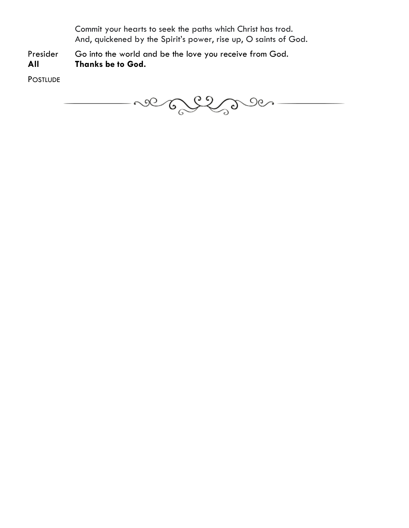Commit your hearts to seek the paths which Christ has trod. And, quickened by the Spirit's power, rise up, O saints of God.

Presider Go into the world and be the love you receive from God.<br>**All Thanks be to God. All Thanks be to God.**

**POSTLUDE** 

2000 20Co Ç2